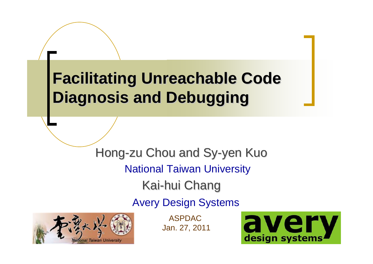#### **Facilitating Unreachable Code Facilitating Unreachable Code Diagnosis and Debugging Diagnosis and Debugging**

Hong-zu Chou and Sy-yen Kuo Kai-hui Chang National Taiwan University Avery Design Systems



ASPDACJan. 27, 2011

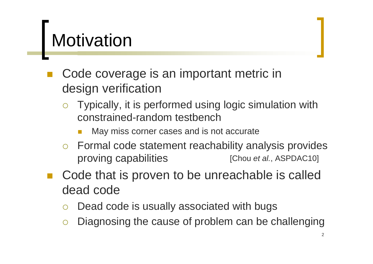#### **Motivation**

- Code coverage is an important metric in design verification
	- ${\bigcirc}$  Typically, it is performed using logic simulation with constrained-random testbench
		- Π May miss corner cases and is not accurate
	- $\circ$  Formal code statement reachability analysis provides proving capabilities [Chou *et al.*, ASPDAC10]
- Code that is proven to be unreachable is called dead code
	- ${\color{black} \bigcirc}$ Dead code is usually associated with bugs
	- ${\color{black} \bigcirc}$ Diagnosing the cause of problem can be challenging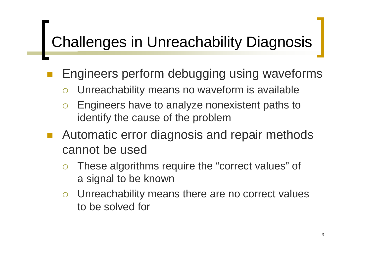#### Challenges in Unreachability Diagnosis

Engineers perform debugging using waveforms

 ${\color{black} \bigcirc}$ Unreachability means no waveform is available

- ${\bigcirc}$  Engineers have to analyze nonexistent paths to identify the cause of the problem
- Automatic error diagnosis and repair methods cannot be used
	- ${\bigcirc}$  These algorithms require the "correct values" of a signal to be known
	- ${\bigcirc}$  Unreachability means there are no correct values to be solved for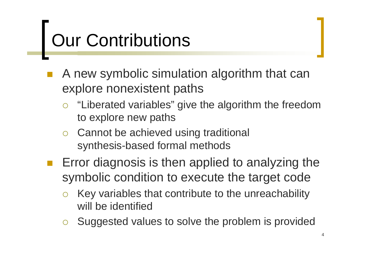## Our Contributions

- A new symbolic simulation algorithm that can explore nonexistent paths
	- ${\bigcirc}$  "Liberated variables" give the algorithm the freedom to explore new paths
	- $\circ$  Cannot be achieved using traditional synthesis-based formal methods
	- Error diagnosis is then applied to analyzing the symbolic condition to execute the target code
		- ${\color{black} \bigcirc}$  Key variables that contribute to the unreachability will be identified
		- ${\bigcirc}$ Suggested values to solve the problem is provided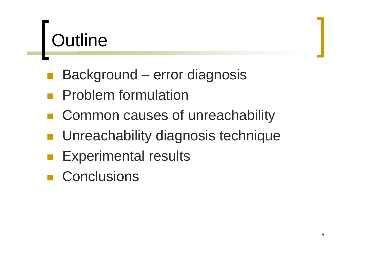## **Outline**

- p. Background – error diagnosis
- Problem formulation
- Common causes of unreachability
- **Unreachability diagnosis technique**
- Experimental results
- **Conclusions**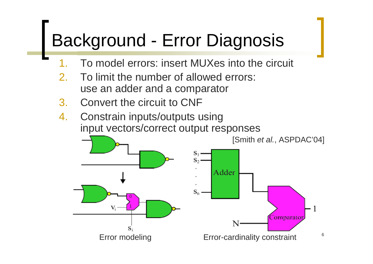#### Background - Error Diagnosis

- 1.To model errors: insert MUXes into the circuit
- 2. To limit the number of allowed errors: use an adder and a comparator
- 3. Convert the circuit to CNF
- 4. Constrain inputs/outputs using input vectors/correct output responses

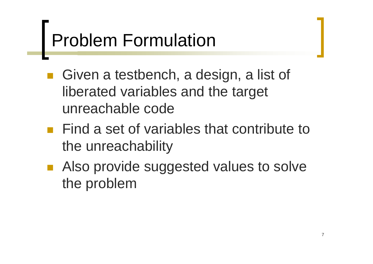## Problem Formulation

- p. ■ Given a testbench, a design, a list of liberated variables and the target unreachable code
- **Find a set of variables that contribute to** the unreachability
- Also provide suggested values to solve the problem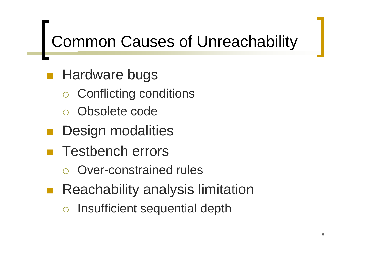#### Common Causes of Unreachability

- p. **Hardware bugs** 
	- ${\color{black} \bigcirc}$ Conflicting conditions
	- ${\color{black} \bigcirc}$ Obsolete code
- p. Design modalities
- Testbench errors
	- ${\color{black} \bigcirc}$ Over-constrained rules
- Reachability analysis limitation
	- ${\color{black} \bigcirc}$ Insufficient sequential depth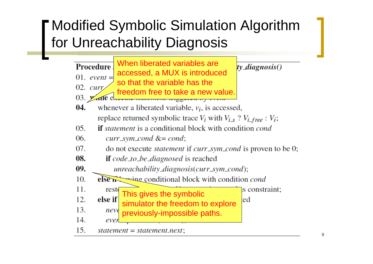#### Modified Symbolic Simulation Algorithm for Unreachability Diagnosis

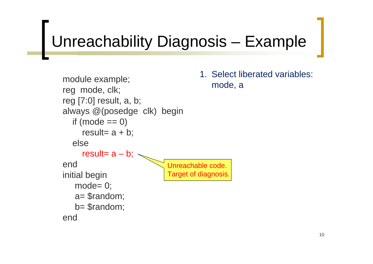## Unreachability Diagnosis – Example

```
module example;
reg mode, clk;
reg [7:0] result, a, b;
always @(posedge clk) begin
  if (mod = = 0)result= a + b;
  elseresult= a - b;
endinitial begin
   mode= 0;
   a= $random;
   b= $random;
endUnreachable code. 
                           Target of diagnosis.
```
1. Select liberated variables: mode, a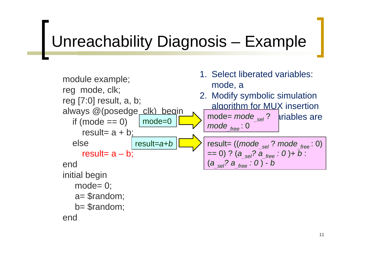#### Unreachability Diagnosis – Example

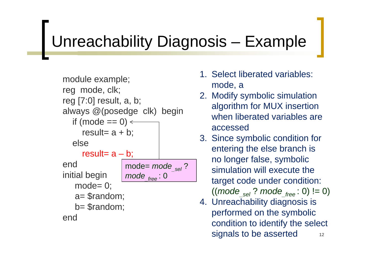#### Unreachability Diagnosis – Example

module example; reg mode, clk; reg [7:0] result, a, b; always @(posedge clk) begin if (mode == 0) result= a + b; elseresult= a – b; endinitial begin mode= 0; a= \$random; b= \$random; endmode= *mode\_sel* ? *mode\_free* : 0

- 1. Select liberated variables: mode, a
- 2. Modify symbolic simulation algorithm for MUX insertion when liberated variables areaccessed
- 3. Since symbolic condition for entering the else branch is no longer false, symbolic simulation will execute the target code under condition: ((*mode\_sel* ? *mode\_free* : 0) != 0)
- 124. Unreachability diagnosis is performed on the symbolic condition to identify the select signals to be asserted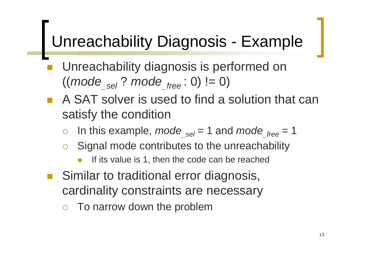## Unreachability Diagnosis - Example

- Unreachability diagnosis is performed on  $((mode_{sel} ? mode_{free} : 0) != 0)$
- A SAT solver is used to find a solution that can satisfy the condition
	- ${\bigcirc}$ In this example, *mode*  $_{sel} = 1$  and *mode*  $_{free} = 1$
	- ${\color{black} \bigcirc}$  Signal mode contributes to the unreachability
		- If its value is 1, then the code can be reached
- Similar to traditional error diagnosis, cardinality constraints are necessary
	- $\bigcirc$ To narrow down the problem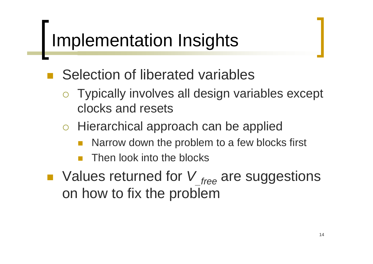## Implementation Insights

p.

Selection of liberated variables

- $\circ$  Typically involves all design variables except clocks and resets
- o Hierarchical approach can be applied
	- $\mathbb{R}^n$ Narrow down the problem to a few blocks first
	- $\mathbb{R}^n$ Then look into the blocks
- Values returned for V<sub>free</sub> are suggestions on how to fix the problem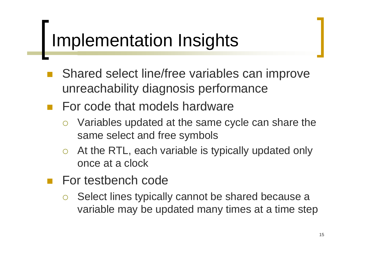#### Implementation Insights

- Shared select line/free variables can improve unreachability diagnosis performance
- For code that models hardware
	- $\bigcirc$  Variables updated at the same cycle can share the same select and free symbols
	- ${\color{blue} \bigcirc}$  At the RTL, each variable is typically updated only once at a clock
- For testbench code
	- ${\color{black} \bigcirc}$  Select lines typically cannot be shared because a variable may be updated many times at a time step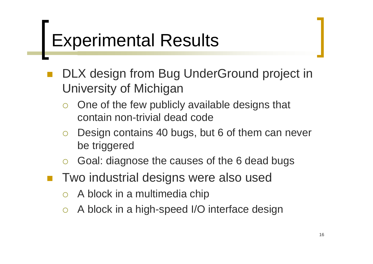#### Experimental Results

- DLX design from Bug UnderGround project in University of Michigan
	- ${\color{black} \bigcirc}$  One of the few publicly available designs that contain non-trivial dead code
	- ${\bigcirc}$  Design contains 40 bugs, but 6 of them can never be triggered
	- ${\color{black} \bigcirc}$ Goal: diagnose the causes of the 6 dead bugs
- Two industrial designs were also used
	- ${\color{black} \bigcirc}$ A block in a multimedia chip
	- ${\bigcirc}$ A block in a high-speed I/O interface design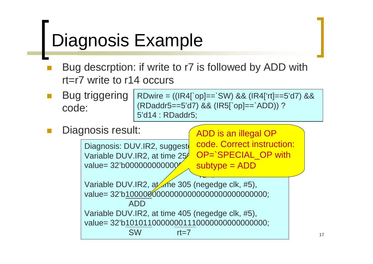#### Diagnosis Example

- $\mathcal{L}_{\mathcal{A}}$  Bug descrption: if write to r7 is followed by ADD with rt=r7 write to r14 occurs
- $\mathcal{C}^{\mathcal{A}}$  Bug triggering code: RDwire = ((IR4[`op]==`SW) && (IR4['rt]==5'd7) && (RDaddr5==5'd7) && (IR5[`op]==`ADD)) ? 5'd14 : RDaddr5;

 $\mathcal{C}^{\mathcal{A}}$ Diagnosis result: ADD is an illegal OP

```
Diagnosis: DUV.IR2, suggest
Variable DUV.IR2, at time 25<sup>0</sup>
value= 32'b00000000000000000011100000001001;
                                       <u>redor</u><br>Personal
                                      code. Correct instruction:
                                      OP=`SPECIAL_OP with
                                      subtype = ADD
```
Variable DUV.IR2, at the 305 (negedge clk, #5), value= 32'b10000000000000000000000000000000; ADDVariable DUV.IR2, at time 405 (negedge clk, #5), value= 32'b10101100000001110000000000000000; SW rt=7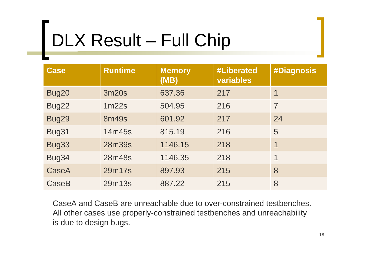## DLX Result – Full Chip

| <b>Case</b>  | <b>Runtime</b> | <b>Memory</b><br>(MB) | <b>#Liberated</b><br>variables | <b>#Diagnosis</b> |
|--------------|----------------|-----------------------|--------------------------------|-------------------|
| Bug20        | 3m20s          | 637.36                | 217                            |                   |
| Bug22        | 1m22s          | 504.95                | 216                            | $\overline{7}$    |
| Bug29        | <b>8m49s</b>   | 601.92                | 217                            | 24                |
| Bug31        | 14m45s         | 815.19                | 216                            | 5                 |
| Bug33        | 28m39s         | 1146.15               | 218                            | 1                 |
| Bug34        | 28m48s         | 1146.35               | 218                            | 1                 |
| <b>CaseA</b> | 29m17s         | 897.93                | 215                            | 8                 |
| CaseB        | 29m13s         | 887.22                | 215                            | 8                 |

CaseA and CaseB are unreachable due to over-constrained testbenches. All other cases use properly-constrained testbenches and unreachability is due to design bugs.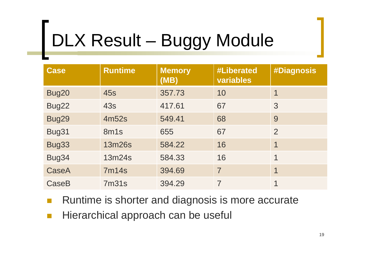# DLX Result – Buggy Module

| <b>Case</b> | <b>Runtime</b> | <b>Memory</b><br>(MB) | <b>#Liberated</b><br>variables | <b>#Diagnosis</b> |
|-------------|----------------|-----------------------|--------------------------------|-------------------|
| Bug20       | 45s            | 357.73                | 10                             |                   |
| Bug22       | <b>43s</b>     | 417.61                | 67                             | 3                 |
| Bug29       | 4m52s          | 549.41                | 68                             | 9                 |
| Bug31       | 8m1s           | 655                   | 67                             | $\overline{2}$    |
| Bug33       | 13m26s         | 584.22                | 16                             | 1                 |
| Bug34       | 13m24s         | 584.33                | 16                             | 1                 |
| CaseA       | <b>7m14s</b>   | 394.69                | $\overline{7}$                 | 1                 |
| CaseB       | 7m31s          | 394.29                | $\overline{7}$                 | 1                 |

- $\mathcal{C}^{\mathcal{A}}$ Runtime is shorter and diagnosis is more accurate
- $\mathcal{C}^{\mathcal{A}}$ Hierarchical approach can be useful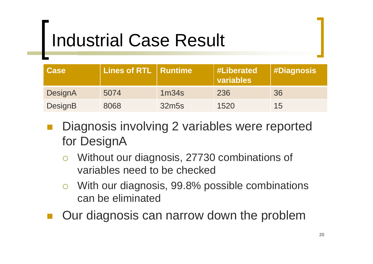## Industrial Case Result

| <b>Case</b> | <b>Lines of RTL   Runtime</b> |                   | <b>#Liberated</b><br>variables | <b>#Diagnosis</b> |
|-------------|-------------------------------|-------------------|--------------------------------|-------------------|
| DesignA     | 5074                          | 1 <sub>m34s</sub> | 236                            | 36                |
| DesignB     | 8068                          | 32m <sub>5s</sub> | 1520                           | 15                |

- Diagnosis involving 2 variables were reported for DesignA
	- ${\color{black} \bigcirc}$  Without our diagnosis, 27730 combinations of variables need to be checked
	- ${\bigcirc}$  With our diagnosis, 99.8% possible combinations can be eliminated
- Our diagnosis can narrow down the problem